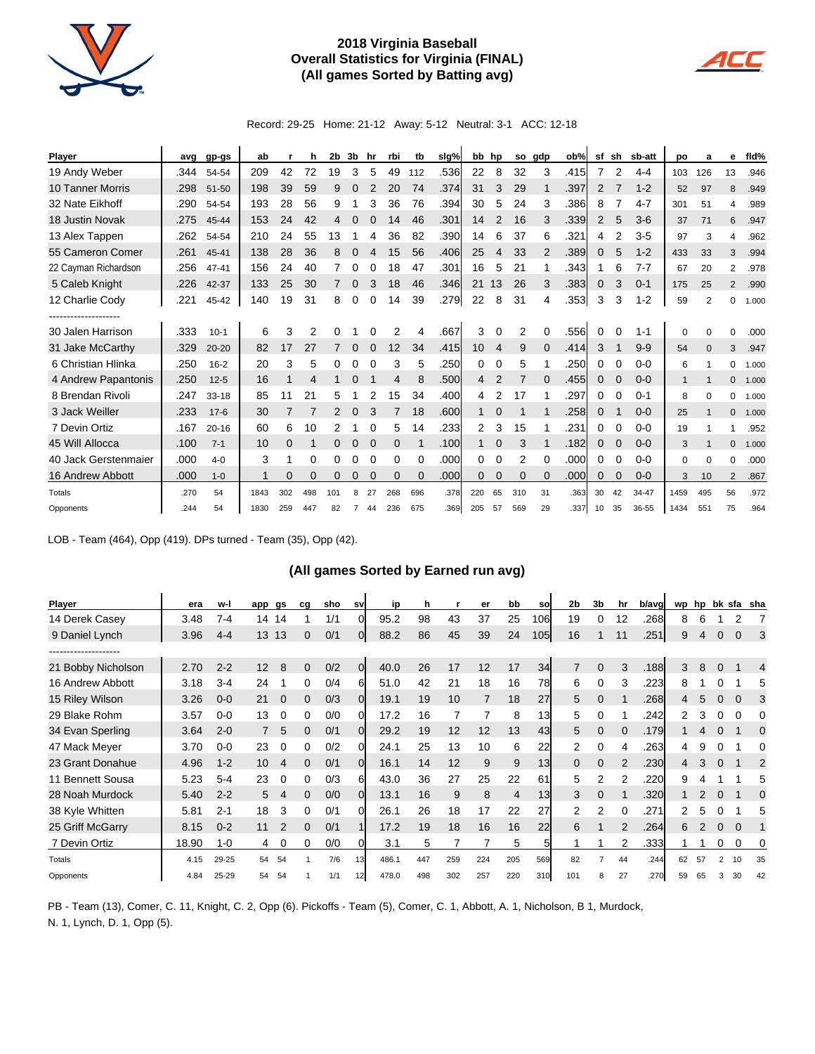

## **2018 Virginia Baseball Overall Statistics for Virginia (FINAL) (All games Sorted by Batting avg)**



Record: 29-25 Home: 21-12 Away: 5-12 Neutral: 3-1 ACC: 12-18

| <b>Player</b>           | avg  | gp-gs     | ab   |     | h   | 2b  | 3b             | hr       | rbi          | tb       | slg% |                 | bb hp          |     | so gdp   | ob%  | sf | sh       | sb-att  | po          | a        | е              | fid%  |
|-------------------------|------|-----------|------|-----|-----|-----|----------------|----------|--------------|----------|------|-----------------|----------------|-----|----------|------|----|----------|---------|-------------|----------|----------------|-------|
| 19 Andy Weber           | .344 | 54-54     | 209  | 42  | 72  | 19  | 3              | 5        | 49           | 112      | .536 | 22              | 8              | 32  | 3        | .415 | 7  | 2        | $4 - 4$ | 103         | 126      | 13             | .946  |
| <b>10 Tanner Morris</b> | .298 | 51-50     | 198  | 39  | 59  | 9   | 0              |          | 20           | 74       | .374 | 31              | 3              | 29  |          | .397 | 2  |          | $1 - 2$ | 52          | 97       | 8              | .949  |
| 32 Nate Eikhoff         | .290 | 54-54     | 193  | 28  | 56  | 9   |                | 3        | 36           | 76       | .394 | 30              | 5              | 24  | 3        | .386 | 8  |          | $4 - 7$ | 301         | 51       | 4              | .989  |
| 18 Justin Novak         | .275 | 45-44     | 153  | 24  | 42  | 4   | 0              |          | 14           | 46       | .301 | 14              | $\overline{2}$ | 16  | 3        | .339 | 2  | 5        | $3-6$   | 37          | 71       | 6              | .947  |
| 13 Alex Tappen          | .262 | 54-54     | 210  | 24  | 55  | 13  |                | 4        | 36           | 82       | .390 | 14              | 6              | 37  | 6        | .321 | 4  | 2        | $3-5$   | 97          | 3        | 4              | .962  |
| 55 Cameron Comer        | .261 | 45-41     | 138  | 28  | 36  | 8   |                |          | 15           | 56       | .406 | 25              | 4              | 33  | 2        | .389 | 0  | 5        | $1 - 2$ | 433         | 33       | 3              | .994  |
| 22 Cayman Richardson    | .256 | $47 - 41$ | 156  | 24  | 40  |     | 0              |          | 18           | 47       | .301 | 16              | 5              | 21  |          | .343 |    | 6        | $7 - 7$ | 67          | 20       | $\overline{2}$ | .978  |
| 5 Caleb Knight          | .226 | 42-37     | 133  | 25  | 30  | 7   | 0              | 3        | 18           | 46       | .346 | 21              | 13             | 26  | 3        | .383 | 0  | 3        | $0 - 1$ | 175         | 25       | $\overline{2}$ | .990  |
| 12 Charlie Cody         | .221 | 45-42     | 140  | 19  | 31  | 8   | 0              | $\Omega$ | 14           | 39       | .279 | 22              | 8              | 31  | 4        | .353 | 3  | 3        | $1 - 2$ | 59          | 2        | 0              | 1.000 |
| ------------------      |      |           |      |     |     |     |                |          |              |          |      |                 |                |     |          |      |    |          |         |             |          |                |       |
| 30 Jalen Harrison       | .333 | $10-1$    | 6    | 3   | 2   | 0   |                |          | 2            | 4        | .667 | 3               | 0              | 2   | 0        | .556 | 0  | 0        | $1 - 1$ | 0           | $\Omega$ | 0              | .000  |
| 31 Jake McCarthy        | .329 | $20 - 20$ | 82   | 17  | 27  |     | 0              |          | 12           | 34       | .415 | 10 <sup>°</sup> | $\overline{4}$ | 9   | $\Omega$ | .414 | 3  |          | $9 - 9$ | 54          | $\Omega$ | 3              | .947  |
| 6 Christian Hlinka      | .250 | $16 - 2$  | 20   | 3   | 5   | 0   | 0              | $\Omega$ | 3            | 5        | .250 | 0               | 0              | 5   |          | .250 | 0  | $\Omega$ | $0 - 0$ | 6           |          | 0              | 1.000 |
| 4 Andrew Papantonis     | .250 | $12 - 5$  | 16   |     | 4   |     |                |          | 4            | 8        | .500 | 4               | 2              |     |          | .455 | 0  |          | $0 - 0$ | 1           |          | $\mathbf{0}$   | 1.000 |
| 8 Brendan Rivoli        | .247 | $33 - 18$ | 85   | 11  | 21  | 5   |                |          | 15           | 34       | .400 | 4               | 2              | 17  |          | .297 | 0  |          | $0 - 1$ | 8           | $\Omega$ | 0              | 1.000 |
| 3 Jack Weiller          | .233 | $17 - 6$  | 30   |     |     | 2   | $\Omega$       | 3        |              | 18       | .600 | 1               | 0              |     |          | .258 | 0  |          | $0 - 0$ | 25          |          | $\mathbf{0}$   | 1.000 |
| 7 Devin Ortiz           | .167 | $20 - 16$ | 60   | 6   | 10  | 2   |                |          | 5            | 14       | .233 | 2               | 3              | 15  |          | .231 | 0  | 0        | $0-0$   | 19          |          | 1              | .952  |
| 45 Will Allocca         | .100 | $7 - 1$   | 10   | 0   |     | 0   | 0              | $\Omega$ | $\mathbf{0}$ |          | .100 | 1               | 0              | 3   |          | .182 | 0  |          | $0 - 0$ | 3           |          | $\mathbf{0}$   | 1.000 |
| 40 Jack Gerstenmaier    | .000 | $4 - 0$   | 3    | 1   | 0   | 0   | 0              | $\Omega$ | 0            | $\Omega$ | .000 | 0               | 0              | 2   | $\Omega$ | .000 | 0  | $\Omega$ | $0 - 0$ | $\mathbf 0$ | $\Omega$ | $\Omega$       | .000  |
| 16 Andrew Abbott        | .000 | $1 - 0$   |      | 0   | 0   | 0   | 0              | 0        | 0            | $\Omega$ | .000 | 0               | 0              | 0   | 0        | .000 | 0  | 0        | $0 - 0$ | 3           | 10       | $\overline{2}$ | .867  |
| Totals                  | .270 | 54        | 1843 | 302 | 498 | 101 | 8              | 27       | 268          | 696      | .378 | 220             | 65             | 310 | 31       | .363 | 30 | 42       | 34-47   | 1459        | 495      | 56             | .972  |
| Opponents               | .244 | 54        | 1830 | 259 | 447 | 82  | $\overline{7}$ | 44       | 236          | 675      | .369 | 205             | 57             | 569 | 29       | .337 | 10 | 35       | 36-55   | 1434        | 551      | 75             | .964  |

LOB - Team (464), Opp (419). DPs turned - Team (35), Opp (42).

 $\ddot{\phantom{a}}$ 

## **(All games Sorted by Earned run avg)**

| Player             | era   | w-l       | app gs |          | cg       | sho | <b>SV</b>       | ip    | h   |     | er  | bb  | sol | 2 <sub>b</sub> | 3 <sub>b</sub> | hr            | b/avg |    | wp hp |          |             | bk sfa sha     |
|--------------------|-------|-----------|--------|----------|----------|-----|-----------------|-------|-----|-----|-----|-----|-----|----------------|----------------|---------------|-------|----|-------|----------|-------------|----------------|
| 14 Derek Casey     | 3.48  | $7 - 4$   | 14     | 14       |          | 1/1 | 0               | 95.2  | 98  | 43  | 37  | 25  | 106 | 19             | 0              | 12            | .268  | 8  | 6     |          |             |                |
| 9 Daniel Lynch     | 3.96  | $4 - 4$   | 13     | 13       | 0        | 0/1 | 0               | 88.2  | 86  | 45  | 39  | 24  | 105 | 16             |                | 11            | .251  | 9  | 4     |          | $\mathbf 0$ | 3              |
| .                  |       |           |        |          |          |     |                 |       |     |     |     |     |     |                |                |               |       |    |       |          |             |                |
| 21 Bobby Nicholson | 2.70  | $2 - 2$   | 12     | 8        | 0        | 0/2 | 0               | 40.0  | 26  | 17  | 12  | 17  | 34  |                | $\Omega$       | 3             | .188  | 3  | 8     | $\Omega$ |             | $\overline{4}$ |
| 16 Andrew Abbott   | 3.18  | $3 - 4$   | 24     |          | 0        | 0/4 | 6               | 51.0  | 42  | 21  | 18  | 16  | 78  | 6              | $\Omega$       | 3             | .223  | 8  |       |          |             | 5              |
| 15 Riley Wilson    | 3.26  | $0 - 0$   | 21     | $\Omega$ | 0        | 0/3 | 0               | 19.1  | 19  | 10  | 7   | 18  | 27  | 5              | $\Omega$       |               | .268  | 4  | 5     | $\Omega$ | $\Omega$    | 3              |
| 29 Blake Rohm      | 3.57  | $0 - 0$   | 13     | 0        | 0        | 0/0 | 0               | 17.2  | 16  |     |     | 8   | 13  | 5              | 0              |               | .242  | 2  | 3     | 0        | 0           | 0              |
| 34 Evan Sperling   | 3.64  | $2 - 0$   |        | 5        | $\Omega$ | 0/1 | 0               | 29.2  | 19  | 12  | 12  | 13  | 43  | 5              | $\Omega$       | $\Omega$      | .179  |    | 4     |          |             | 0              |
| 47 Mack Meyer      | 3.70  | $0 - 0$   | 23     | $\Omega$ | 0        | 0/2 | 0               | 24.1  | 25  | 13  | 10  | 6   | 22  | 2              | 0              | 4             | .263  | 4  | 9     |          |             | 0              |
| 23 Grant Donahue   | 4.96  | $1 - 2$   | 10     | 4        | 0        | 0/1 | 0               | 16.1  | 14  | 12  | 9   | 9   | 13  | $\mathbf{0}$   | 0              | $\mathcal{P}$ | .230  | 4  | 3     | $\Omega$ |             | $\overline{2}$ |
| 11 Bennett Sousa   | 5.23  | $5 - 4$   | 23     | 0        |          | 0/3 | 6               | 43.0  | 36  | 27  | 25  | 22  | 61  | 5              | 2              |               | .220  | 9  |       |          |             | 5              |
| 28 Noah Murdock    | 5.40  | $2 - 2$   | 5      |          | 0        | 0/0 | 0               | 13.1  | 16  | 9   | 8   | 4   | 13  | 3              | 0              |               | .320  |    |       |          |             | $\mathbf 0$    |
| 38 Kyle Whitten    | 5.81  | $2 - 1$   | 18     | 3        | 0        | 0/1 | 0               | 26.1  | 26  | 18  | 17  | 22  | 27  | 2              | 2              |               | .271  | 2  | 5     |          |             | 5              |
| 25 Griff McGarry   | 8.15  | $0 - 2$   | 11     |          | 0        | 0/1 |                 | 17.2  | 19  | 18  | 16  | 16  | 22  | 6              |                |               | .264  | 6  |       | 0        | $\mathbf 0$ |                |
| 7 Devin Ortiz      | 18.90 | $1 - 0$   | 4      | 0        | 0        | 0/0 |                 | 3.1   | 5   |     |     | 5   |     |                |                | 2             | .333  |    |       | 0        | 0           | 0              |
| Totals             | 4.15  | 29-25     | 54     | 54       |          | 7/6 | 13              | 486.1 | 447 | 259 | 224 | 205 | 569 | 82             |                | 44            | .244  | 62 | 57    | 2        | 10          | 35             |
| Opponents          | 4.84  | $25 - 29$ | 54     | 54       |          | 1/1 | 12 <sub>1</sub> | 478.0 | 498 | 302 | 257 | 220 | 310 | 101            | 8              | 27            | .270  | 59 | 65    | 3        | 30          | 42             |

PB - Team (13), Comer, C. 11, Knight, C. 2, Opp (6). Pickoffs - Team (5), Comer, C. 1, Abbott, A. 1, Nicholson, B 1, Murdock, N. 1, Lynch, D. 1, Opp (5).